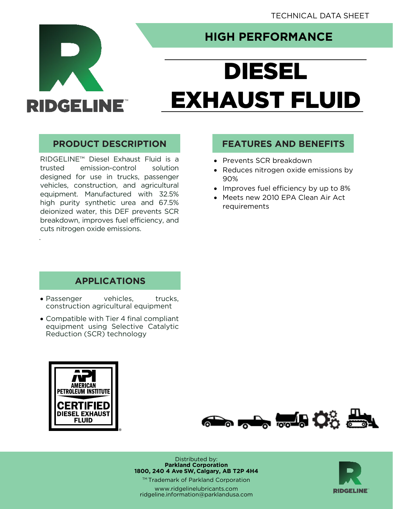

.

## **HIGH PERFORMANCE**

# DIESEL EXHAUST FLUID

RIDGELINE™ Diesel Exhaust Fluid is a trusted emission-control solution designed for use in trucks, passenger vehicles, construction, and agricultural equipment. Manufactured with 32.5% high purity synthetic urea and 67.5% deionized water, this DEF prevents SCR breakdown, improves fuel efficiency, and cuts nitrogen oxide emissions.

#### **PRODUCT DESCRIPTION FEATURES AND BENEFITS**

- Prevents SCR breakdown
- Reduces nitrogen oxide emissions by 90%
- Improves fuel efficiency by up to 8%
- Meets new 2010 EPA Clean Air Act requirements

#### **APPLICATIONS**

- Passenger vehicles, trucks, construction agricultural equipment
- Compatible with Tier 4 final compliant equipment using Selective Catalytic Reduction (SCR) technology





Distributed by: **Parkland Corporation 1800, 240 4 Ave SW, Calgary, AB T2P 4H4**

™ Trademark of Parkland Corporation

[www.ridgelinelubricants.com](http://www.ridgelinelubricants.com/) [ridgeline.information@parklandusa.com](mailto:ridgeline.information@parklandusa.com)